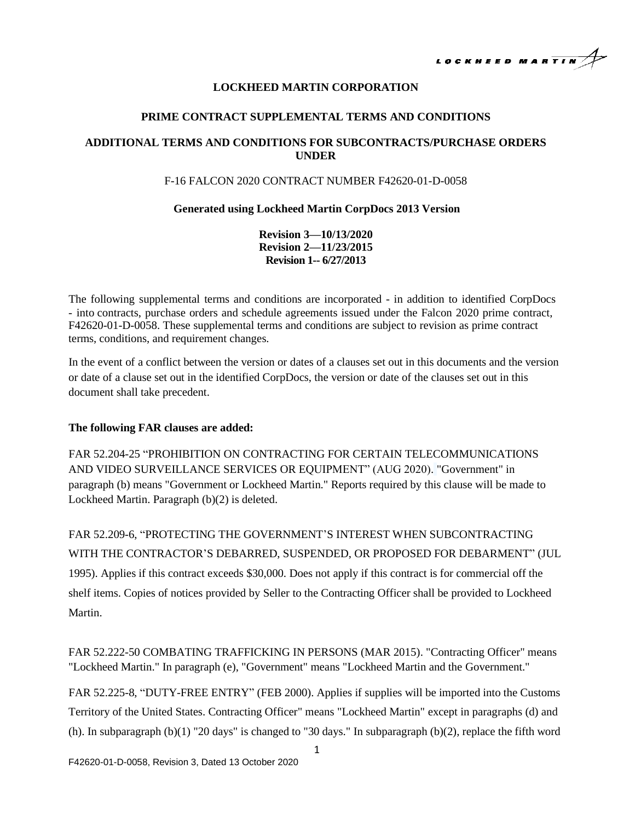

# **LOCKHEED MARTIN CORPORATION**

## **PRIME CONTRACT SUPPLEMENTAL TERMS AND CONDITIONS**

# **ADDITIONAL TERMS AND CONDITIONS FOR SUBCONTRACTS/PURCHASE ORDERS UNDER**

### F-16 FALCON 2020 CONTRACT NUMBER F42620-01-D-0058

### **Generated using Lockheed Martin CorpDocs 2013 Version**

**Revision 3—10/13/2020 Revision 2—11/23/2015 Revision 1-- 6/27/2013**

The following supplemental terms and conditions are incorporated - in addition to identified CorpDocs - into contracts, purchase orders and schedule agreements issued under the Falcon 2020 prime contract, F42620-01-D-0058. These supplemental terms and conditions are subject to revision as prime contract terms, conditions, and requirement changes.

In the event of a conflict between the version or dates of a clauses set out in this documents and the version or date of a clause set out in the identified CorpDocs, the version or date of the clauses set out in this document shall take precedent.

#### **The following FAR clauses are added:**

FAR 52.204-25 "PROHIBITION ON CONTRACTING FOR CERTAIN TELECOMMUNICATIONS AND VIDEO SURVEILLANCE SERVICES OR EQUIPMENT" (AUG 2020). "Government" in paragraph (b) means "Government or Lockheed Martin." Reports required by this clause will be made to Lockheed Martin. Paragraph (b)(2) is deleted.

FAR 52.209-6, "PROTECTING THE GOVERNMENT'S INTEREST WHEN SUBCONTRACTING WITH THE CONTRACTOR'S DEBARRED, SUSPENDED, OR PROPOSED FOR DEBARMENT" (JUL 1995). Applies if this contract exceeds \$30,000. Does not apply if this contract is for commercial off the shelf items. Copies of notices provided by Seller to the Contracting Officer shall be provided to Lockheed Martin.

FAR 52.222-50 COMBATING TRAFFICKING IN PERSONS (MAR 2015). "Contracting Officer" means "Lockheed Martin." In paragraph (e), "Government" means "Lockheed Martin and the Government."

FAR 52.225-8, "DUTY-FREE ENTRY" (FEB 2000). Applies if supplies will be imported into the Customs Territory of the United States. Contracting Officer" means "Lockheed Martin" except in paragraphs (d) and (h). In subparagraph  $(b)(1)$  "20 days" is changed to "30 days." In subparagraph  $(b)(2)$ , replace the fifth word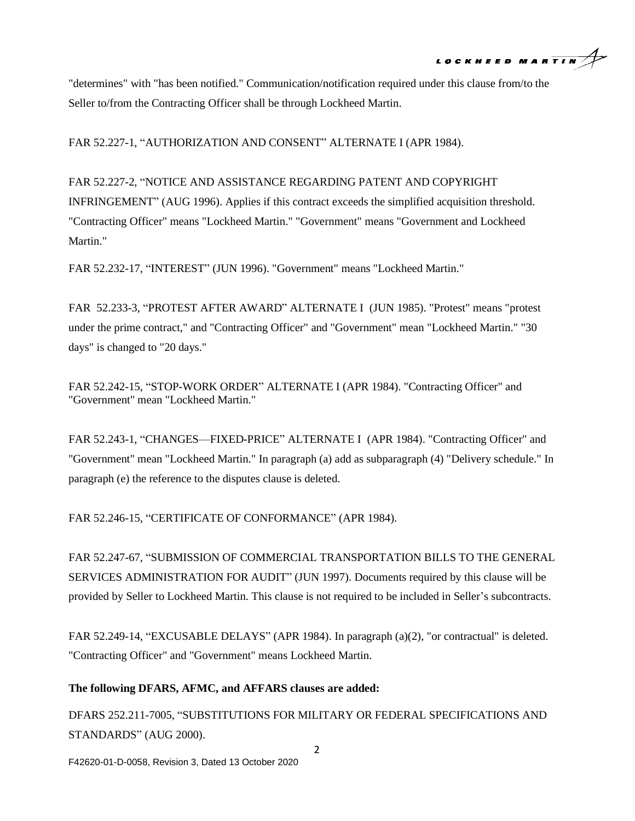

"determines" with "has been notified." Communication/notification required under this clause from/to the Seller to/from the Contracting Officer shall be through Lockheed Martin.

FAR 52.227-1, "AUTHORIZATION AND CONSENT" ALTERNATE I (APR 1984).

FAR 52.227-2, "NOTICE AND ASSISTANCE REGARDING PATENT AND COPYRIGHT INFRINGEMENT" (AUG 1996). Applies if this contract exceeds the simplified acquisition threshold. "Contracting Officer" means "Lockheed Martin." "Government" means "Government and Lockheed Martin."

FAR 52.232-17, "INTEREST" (JUN 1996). "Government" means "Lockheed Martin."

FAR 52.233-3, "PROTEST AFTER AWARD" ALTERNATE I (JUN 1985). "Protest" means "protest under the prime contract," and "Contracting Officer" and "Government" mean "Lockheed Martin." "30 days" is changed to "20 days."

FAR 52.242-15, "STOP-WORK ORDER" ALTERNATE I (APR 1984). "Contracting Officer" and "Government" mean "Lockheed Martin."

FAR 52.243-1, "CHANGES—FIXED-PRICE" ALTERNATE I (APR 1984). "Contracting Officer" and "Government" mean "Lockheed Martin." In paragraph (a) add as subparagraph (4) "Delivery schedule." In paragraph (e) the reference to the disputes clause is deleted.

FAR 52.246-15, "CERTIFICATE OF CONFORMANCE" (APR 1984).

FAR 52.247-67, "SUBMISSION OF COMMERCIAL TRANSPORTATION BILLS TO THE GENERAL SERVICES ADMINISTRATION FOR AUDIT" (JUN 1997). Documents required by this clause will be provided by Seller to Lockheed Martin. This clause is not required to be included in Seller's subcontracts.

FAR 52.249-14, "EXCUSABLE DELAYS" (APR 1984). In paragraph (a)(2), "or contractual" is deleted. "Contracting Officer" and "Government" means Lockheed Martin.

#### **The following DFARS, AFMC, and AFFARS clauses are added:**

DFARS 252.211-7005, "SUBSTITUTIONS FOR MILITARY OR FEDERAL SPECIFICATIONS AND STANDARDS" (AUG 2000).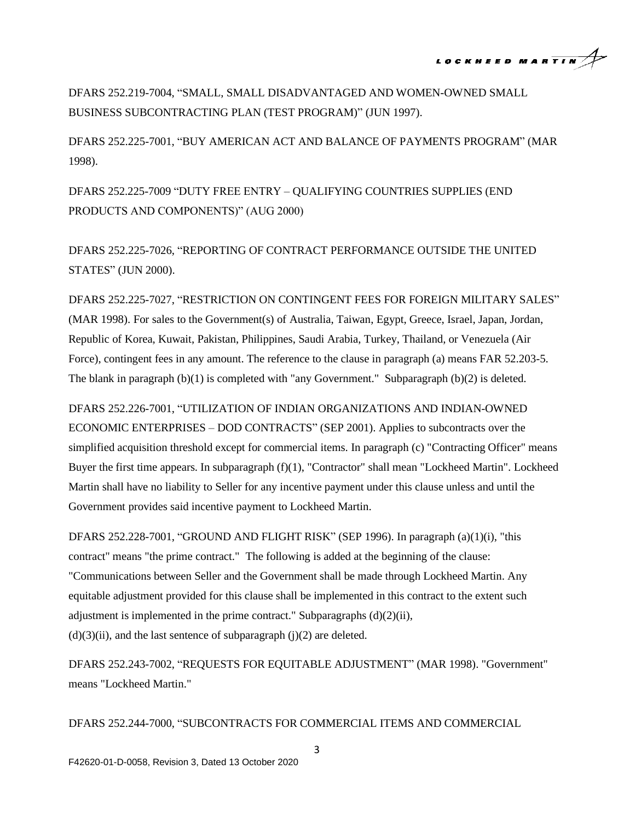

DFARS 252.219-7004, "SMALL, SMALL DISADVANTAGED AND WOMEN-OWNED SMALL BUSINESS SUBCONTRACTING PLAN (TEST PROGRAM)" (JUN 1997).

DFARS 252.225-7001, "BUY AMERICAN ACT AND BALANCE OF PAYMENTS PROGRAM" (MAR 1998).

DFARS 252.225-7009 "DUTY FREE ENTRY – QUALIFYING COUNTRIES SUPPLIES (END PRODUCTS AND COMPONENTS)" (AUG 2000)

DFARS 252.225-7026, "REPORTING OF CONTRACT PERFORMANCE OUTSIDE THE UNITED STATES" (JUN 2000).

DFARS 252.225-7027, "RESTRICTION ON CONTINGENT FEES FOR FOREIGN MILITARY SALES" (MAR 1998). For sales to the Government(s) of Australia, Taiwan, Egypt, Greece, Israel, Japan, Jordan, Republic of Korea, Kuwait, Pakistan, Philippines, Saudi Arabia, Turkey, Thailand, or Venezuela (Air Force), contingent fees in any amount. The reference to the clause in paragraph (a) means FAR 52.203-5. The blank in paragraph (b)(1) is completed with "any Government." Subparagraph (b)(2) is deleted.

DFARS 252.226-7001, "UTILIZATION OF INDIAN ORGANIZATIONS AND INDIAN-OWNED ECONOMIC ENTERPRISES – DOD CONTRACTS" (SEP 2001). Applies to subcontracts over the simplified acquisition threshold except for commercial items. In paragraph (c) "Contracting Officer" means Buyer the first time appears. In subparagraph (f)(1), "Contractor" shall mean "Lockheed Martin". Lockheed Martin shall have no liability to Seller for any incentive payment under this clause unless and until the Government provides said incentive payment to Lockheed Martin.

DFARS 252.228-7001, "GROUND AND FLIGHT RISK" (SEP 1996). In paragraph (a)(1)(i), "this contract" means "the prime contract." The following is added at the beginning of the clause: "Communications between Seller and the Government shall be made through Lockheed Martin. Any equitable adjustment provided for this clause shall be implemented in this contract to the extent such adjustment is implemented in the prime contract." Subparagraphs (d)(2)(ii),  $(d)(3)(ii)$ , and the last sentence of subparagraph  $(j)(2)$  are deleted.

DFARS 252.243-7002, "REQUESTS FOR EQUITABLE ADJUSTMENT" (MAR 1998). "Government" means "Lockheed Martin."

DFARS 252.244-7000, "SUBCONTRACTS FOR COMMERCIAL ITEMS AND COMMERCIAL